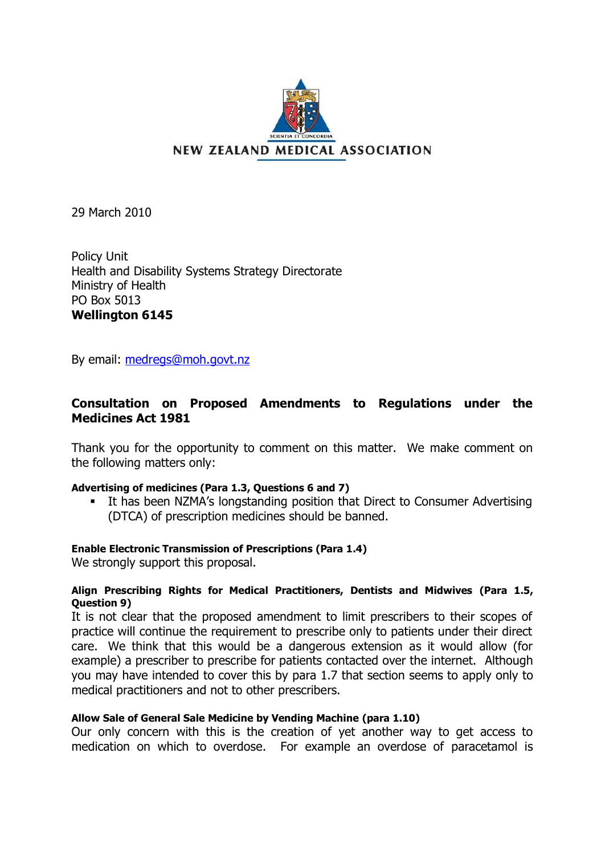

NEW ZEALAND MEDICAL ASSOCIATION

29 March 2010

Policy Unit Health and Disability Systems Strategy Directorate Ministry of Health PO Box 5013 **Wellington 6145**

By email: [medregs@moh.govt.nz](mailto:medregs@moh.govt.nz)

# **Consultation on Proposed Amendments to Regulations under the Medicines Act 1981**

Thank you for the opportunity to comment on this matter. We make comment on the following matters only:

### **Advertising of medicines (Para 1.3, Questions 6 and 7)**

**EXTE: It has been NZMA's longstanding position that Direct to Consumer Advertising** (DTCA) of prescription medicines should be banned.

## **Enable Electronic Transmission of Prescriptions (Para 1.4)**

We strongly support this proposal.

### **Align Prescribing Rights for Medical Practitioners, Dentists and Midwives (Para 1.5, Question 9)**

It is not clear that the proposed amendment to limit prescribers to their scopes of practice will continue the requirement to prescribe only to patients under their direct care. We think that this would be a dangerous extension as it would allow (for example) a prescriber to prescribe for patients contacted over the internet. Although you may have intended to cover this by para 1.7 that section seems to apply only to medical practitioners and not to other prescribers.

### **Allow Sale of General Sale Medicine by Vending Machine (para 1.10)**

Our only concern with this is the creation of yet another way to get access to medication on which to overdose. For example an overdose of paracetamol is